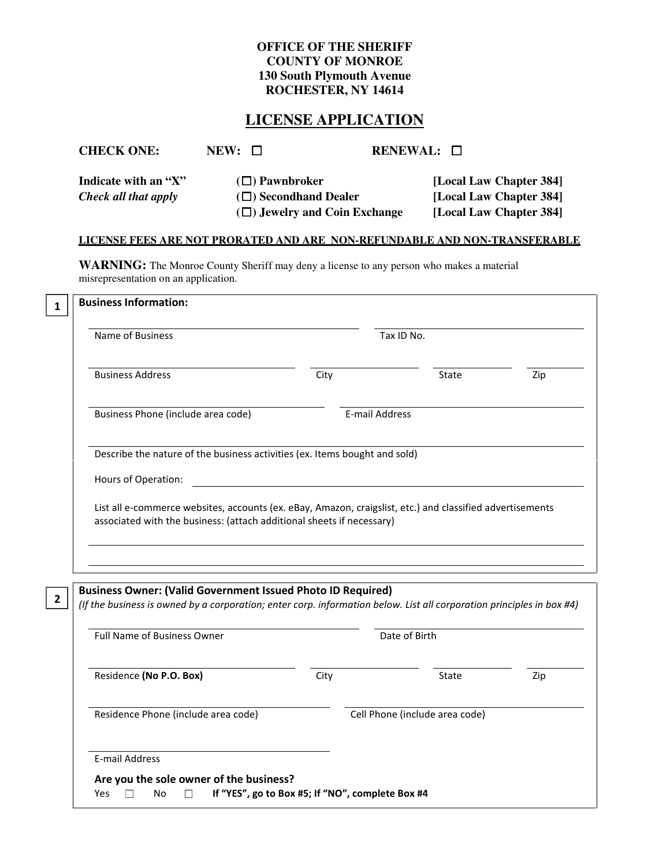#### **OFFICE OF THE SHERIFF COUNTY OF MONROE 130 South Plymouth Avenue ROCHESTER, NY 14614**

### **LICENSE APPLICATION**

| <b>CHECK ONE:</b>      | NEW:<br>$\blacksquare$             | <b>RENEWAL:</b><br>$\blacksquare$ |
|------------------------|------------------------------------|-----------------------------------|
| Indicate with an $"X"$ | $(\Box)$ Pawnbroker                | [Local Law Chapter 384]           |
| Check all that apply   | $(\Box)$ Secondhand Dealer         | [Local Law Chapter 384]           |
|                        | $(\Box)$ Jewelry and Coin Exchange | [Local Law Chapter 384]           |

#### **LICENSE FEES ARE NOT PRORATED AND ARE NON-REFUNDABLE AND NON-TRANSFERABLE**

WARNING: The Monroe County Sheriff may deny a license to any person who makes a material misrepresentation on an application.

| Name of Business                                                                                                                                                                            |                | Tax ID No.                     |                                                                                                           |
|---------------------------------------------------------------------------------------------------------------------------------------------------------------------------------------------|----------------|--------------------------------|-----------------------------------------------------------------------------------------------------------|
| <b>Business Address</b>                                                                                                                                                                     | City           | State                          | Zip                                                                                                       |
| Business Phone (include area code)                                                                                                                                                          | E-mail Address |                                |                                                                                                           |
| Describe the nature of the business activities (ex. Items bought and sold)                                                                                                                  |                |                                |                                                                                                           |
| Hours of Operation:                                                                                                                                                                         |                |                                |                                                                                                           |
| associated with the business: (attach additional sheets if necessary)                                                                                                                       |                |                                | List all e-commerce websites, accounts (ex. eBay, Amazon, craigslist, etc.) and classified advertisements |
| <b>Business Owner: (Valid Government Issued Photo ID Required)</b><br>(If the business is owned by a corporation; enter corp. information below. List all corporation principles in box #4) |                |                                |                                                                                                           |
| <b>Full Name of Business Owner</b>                                                                                                                                                          |                | Date of Birth                  |                                                                                                           |
| Residence (No P.O. Box)                                                                                                                                                                     | City           | State                          | Zip                                                                                                       |
| Residence Phone (include area code)                                                                                                                                                         |                | Cell Phone (include area code) |                                                                                                           |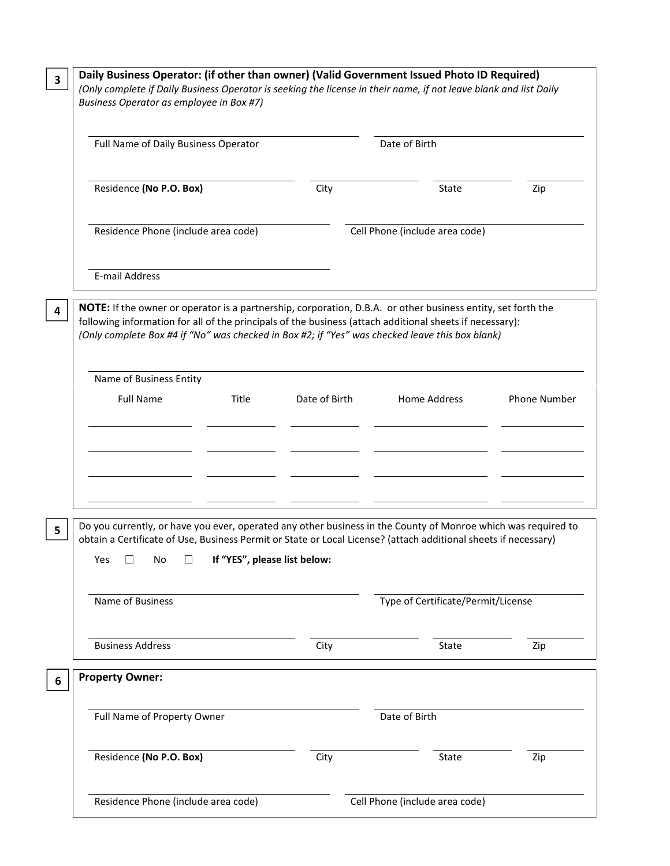| $\overline{\mathbf{3}}$ | Daily Business Operator: (if other than owner) (Valid Government Issued Photo ID Required)<br>(Only complete if Daily Business Operator is seeking the license in their name, if not leave blank and list Daily<br>Business Operator as employee in Box #7)                                                                 |               |                                    |              |  |
|-------------------------|-----------------------------------------------------------------------------------------------------------------------------------------------------------------------------------------------------------------------------------------------------------------------------------------------------------------------------|---------------|------------------------------------|--------------|--|
|                         |                                                                                                                                                                                                                                                                                                                             |               |                                    |              |  |
|                         | Full Name of Daily Business Operator                                                                                                                                                                                                                                                                                        |               | Date of Birth                      |              |  |
|                         | Residence (No P.O. Box)                                                                                                                                                                                                                                                                                                     | City          | State                              | Zip          |  |
|                         | Residence Phone (include area code)                                                                                                                                                                                                                                                                                         |               | Cell Phone (include area code)     |              |  |
|                         | E-mail Address                                                                                                                                                                                                                                                                                                              |               |                                    |              |  |
| 4                       | NOTE: If the owner or operator is a partnership, corporation, D.B.A. or other business entity, set forth the<br>following information for all of the principals of the business (attach additional sheets if necessary):<br>(Only complete Box #4 if "No" was checked in Box #2; if "Yes" was checked leave this box blank) |               |                                    |              |  |
|                         | Name of Business Entity                                                                                                                                                                                                                                                                                                     |               |                                    |              |  |
|                         | <b>Full Name</b><br>Title                                                                                                                                                                                                                                                                                                   | Date of Birth | Home Address                       | Phone Number |  |
|                         |                                                                                                                                                                                                                                                                                                                             |               |                                    |              |  |
|                         |                                                                                                                                                                                                                                                                                                                             |               |                                    |              |  |
|                         |                                                                                                                                                                                                                                                                                                                             |               |                                    |              |  |
| 5                       | Do you currently, or have you ever, operated any other business in the County of Monroe which was required to<br>obtain a Certificate of Use, Business Permit or State or Local License? (attach additional sheets if necessary)                                                                                            |               |                                    |              |  |
|                         | Yes □ No □ If "YES", please list below:                                                                                                                                                                                                                                                                                     |               |                                    |              |  |
|                         | Name of Business                                                                                                                                                                                                                                                                                                            |               | Type of Certificate/Permit/License |              |  |
|                         | <b>Business Address</b>                                                                                                                                                                                                                                                                                                     | City          | State                              | Zip          |  |
| 6                       | <b>Property Owner:</b>                                                                                                                                                                                                                                                                                                      |               |                                    |              |  |
|                         | Full Name of Property Owner                                                                                                                                                                                                                                                                                                 |               | Date of Birth                      |              |  |
|                         | Residence (No P.O. Box)                                                                                                                                                                                                                                                                                                     | City          | State                              | Zip          |  |
|                         | Residence Phone (include area code)                                                                                                                                                                                                                                                                                         |               | Cell Phone (include area code)     |              |  |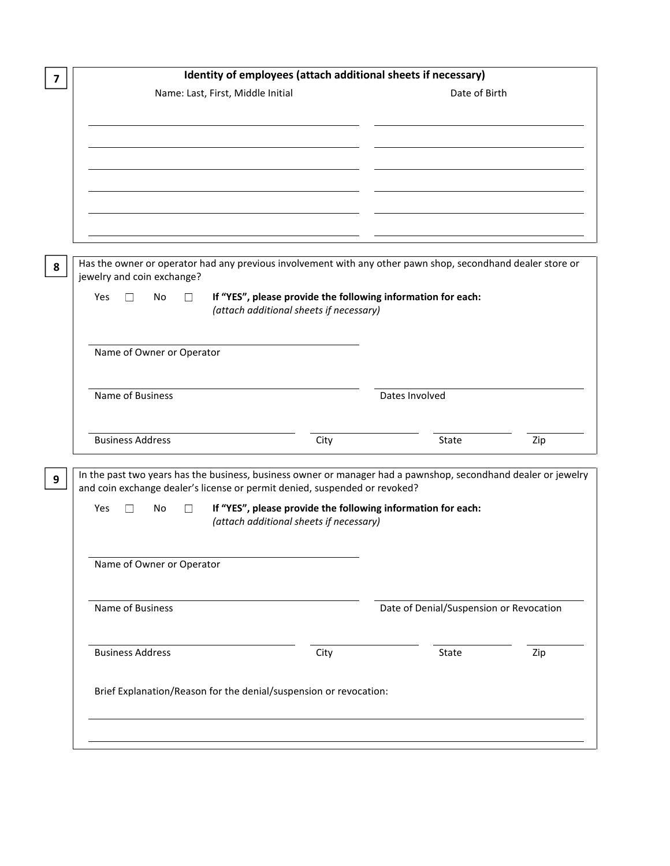| $\overline{\mathbf{z}}$ | Identity of employees (attach additional sheets if necessary)                                                                                                                                                                                                                                |      |                                                                               |     |
|-------------------------|----------------------------------------------------------------------------------------------------------------------------------------------------------------------------------------------------------------------------------------------------------------------------------------------|------|-------------------------------------------------------------------------------|-----|
| 8                       | Name: Last, First, Middle Initial<br>Has the owner or operator had any previous involvement with any other pawn shop, secondhand dealer store or<br>jewelry and coin exchange?<br>Yes<br>No<br>$\Box$<br>П                                                                                   |      | Date of Birth<br>If "YES", please provide the following information for each: |     |
|                         | (attach additional sheets if necessary)<br>Name of Owner or Operator<br>Name of Business                                                                                                                                                                                                     |      | Dates Involved                                                                |     |
|                         | <b>Business Address</b>                                                                                                                                                                                                                                                                      | City | State                                                                         | Zip |
| 9                       | In the past two years has the business, business owner or manager had a pawnshop, secondhand dealer or jewelry<br>and coin exchange dealer's license or permit denied, suspended or revoked?<br>Yes<br>No.<br>П<br>П<br>(attach additional sheets if necessary)<br>Name of Owner or Operator |      | If "YES", please provide the following information for each:                  |     |
|                         | Name of Business                                                                                                                                                                                                                                                                             |      | Date of Denial/Suspension or Revocation                                       |     |
|                         | <b>Business Address</b>                                                                                                                                                                                                                                                                      | City | State                                                                         | Zip |
|                         | Brief Explanation/Reason for the denial/suspension or revocation:                                                                                                                                                                                                                            |      |                                                                               |     |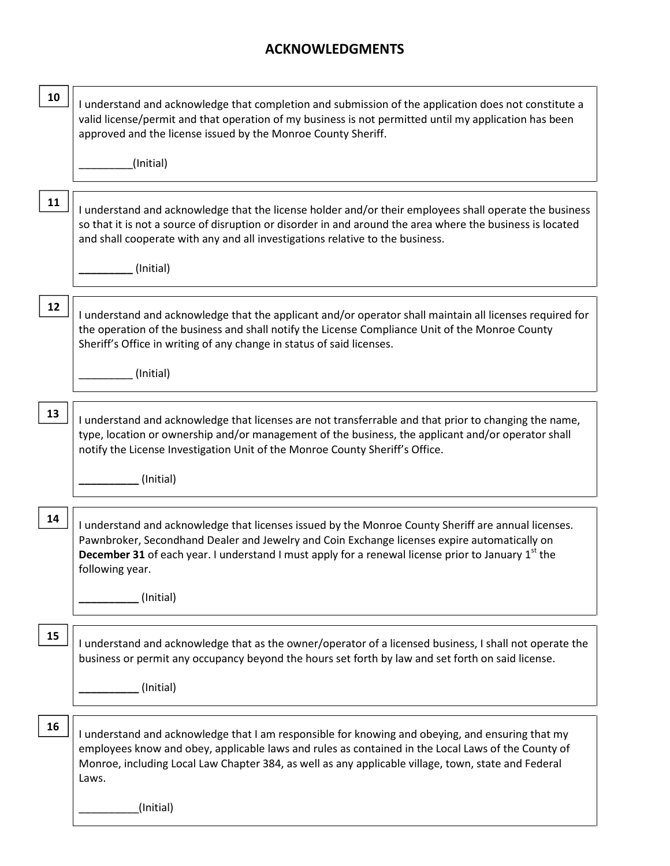# ACKNOWLEDGMENTS

| 10 | I understand and acknowledge that completion and submission of the application does not constitute a<br>valid license/permit and that operation of my business is not permitted until my application has been<br>approved and the license issued by the Monroe County Sheriff.<br>(Initial)                                                           |
|----|-------------------------------------------------------------------------------------------------------------------------------------------------------------------------------------------------------------------------------------------------------------------------------------------------------------------------------------------------------|
|    |                                                                                                                                                                                                                                                                                                                                                       |
| 11 | I understand and acknowledge that the license holder and/or their employees shall operate the business<br>so that it is not a source of disruption or disorder in and around the area where the business is located<br>and shall cooperate with any and all investigations relative to the business.<br>(Initial)                                     |
| 12 | I understand and acknowledge that the applicant and/or operator shall maintain all licenses required for<br>the operation of the business and shall notify the License Compliance Unit of the Monroe County<br>Sheriff's Office in writing of any change in status of said licenses.<br>(Initial)                                                     |
|    |                                                                                                                                                                                                                                                                                                                                                       |
| 13 | I understand and acknowledge that licenses are not transferrable and that prior to changing the name,<br>type, location or ownership and/or management of the business, the applicant and/or operator shall<br>notify the License Investigation Unit of the Monroe County Sheriff's Office.<br>(Initial)                                              |
|    |                                                                                                                                                                                                                                                                                                                                                       |
| 14 | I understand and acknowledge that licenses issued by the Monroe County Sheriff are annual licenses.<br>Pawnbroker, Secondhand Dealer and Jewelry and Coin Exchange licenses expire automatically on<br><b>December 31</b> of each year. I understand I must apply for a renewal license prior to January $1^{st}$ the<br>following year.<br>(Initial) |
| 15 | I understand and acknowledge that as the owner/operator of a licensed business, I shall not operate the<br>business or permit any occupancy beyond the hours set forth by law and set forth on said license.<br>(Initial)                                                                                                                             |
|    |                                                                                                                                                                                                                                                                                                                                                       |
| 16 | I understand and acknowledge that I am responsible for knowing and obeying, and ensuring that my<br>employees know and obey, applicable laws and rules as contained in the Local Laws of the County of<br>Monroe, including Local Law Chapter 384, as well as any applicable village, town, state and Federal<br>Laws.                                |
|    | (Initial)                                                                                                                                                                                                                                                                                                                                             |